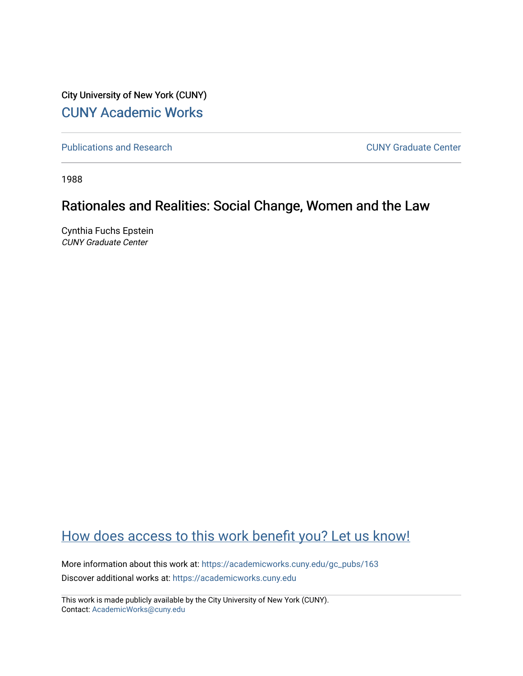City University of New York (CUNY) [CUNY Academic Works](https://academicworks.cuny.edu/) 

[Publications and Research](https://academicworks.cuny.edu/gc_pubs) [CUNY Graduate Center](https://academicworks.cuny.edu/gc) 

1988

# Rationales and Realities: Social Change, Women and the Law

Cynthia Fuchs Epstein CUNY Graduate Center

# [How does access to this work benefit you? Let us know!](http://ols.cuny.edu/academicworks/?ref=https://academicworks.cuny.edu/gc_pubs/163)

More information about this work at: [https://academicworks.cuny.edu/gc\\_pubs/163](https://academicworks.cuny.edu/gc_pubs/163) Discover additional works at: [https://academicworks.cuny.edu](https://academicworks.cuny.edu/?)

This work is made publicly available by the City University of New York (CUNY). Contact: [AcademicWorks@cuny.edu](mailto:AcademicWorks@cuny.edu)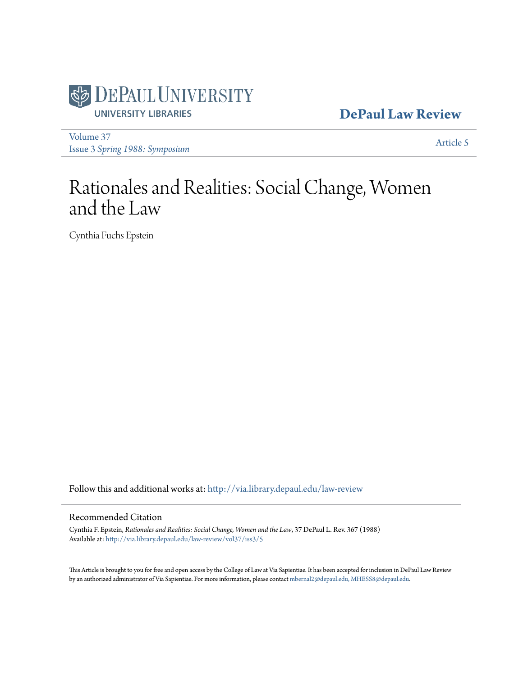

## **[DePaul Law Review](http://via.library.depaul.edu/law-review?utm_source=via.library.depaul.edu%2Flaw-review%2Fvol37%2Fiss3%2F5&utm_medium=PDF&utm_campaign=PDFCoverPages)**

[Volume 37](http://via.library.depaul.edu/law-review/vol37?utm_source=via.library.depaul.edu%2Flaw-review%2Fvol37%2Fiss3%2F5&utm_medium=PDF&utm_campaign=PDFCoverPages) Issue 3 *[Spring 1988: Symposium](http://via.library.depaul.edu/law-review/vol37/iss3?utm_source=via.library.depaul.edu%2Flaw-review%2Fvol37%2Fiss3%2F5&utm_medium=PDF&utm_campaign=PDFCoverPages)*

[Article 5](http://via.library.depaul.edu/law-review/vol37/iss3/5?utm_source=via.library.depaul.edu%2Flaw-review%2Fvol37%2Fiss3%2F5&utm_medium=PDF&utm_campaign=PDFCoverPages)

# Rationales and Realities: Social Change, Women and the Law

Cynthia Fuchs Epstein

Follow this and additional works at: [http://via.library.depaul.edu/law-review](http://via.library.depaul.edu/law-review?utm_source=via.library.depaul.edu%2Flaw-review%2Fvol37%2Fiss3%2F5&utm_medium=PDF&utm_campaign=PDFCoverPages)

### Recommended Citation

Cynthia F. Epstein, *Rationales and Realities: Social Change, Women and the Law*, 37 DePaul L. Rev. 367 (1988) Available at: [http://via.library.depaul.edu/law-review/vol37/iss3/5](http://via.library.depaul.edu/law-review/vol37/iss3/5?utm_source=via.library.depaul.edu%2Flaw-review%2Fvol37%2Fiss3%2F5&utm_medium=PDF&utm_campaign=PDFCoverPages)

This Article is brought to you for free and open access by the College of Law at Via Sapientiae. It has been accepted for inclusion in DePaul Law Review by an authorized administrator of Via Sapientiae. For more information, please contact [mbernal2@depaul.edu, MHESS8@depaul.edu](mailto:mbernal2@depaul.edu,%20MHESS8@depaul.edu).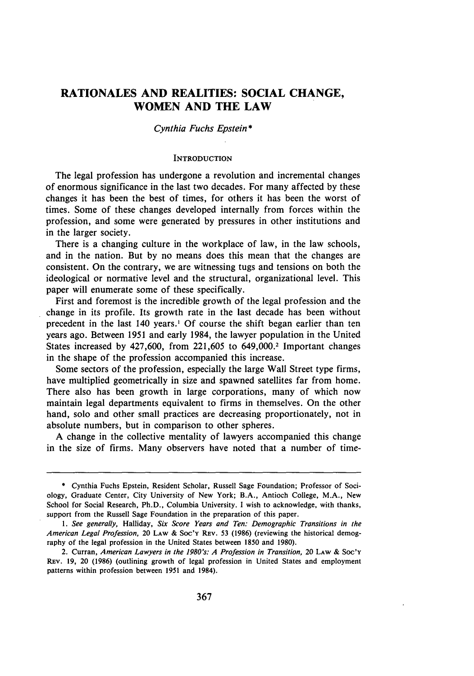## **RATIONALES AND REALITIES: SOCIAL CHANGE, WOMEN AND THE LAW**

#### *Cynthia Fuchs Epstein\**

#### **INTRODUCTION**

The legal profession has undergone a revolution and incremental changes of enormous significance in the last two decades. For many affected **by** these changes it has been the best of times, for others it has been the worst of times. Some of these changes developed internally from forces within the profession, and some were generated **by** pressures in other institutions and in the larger society.

There is a changing culture in the workplace of law, in the law schools, and in the nation. But by no means does this mean that the changes are consistent. On the contrary, we are witnessing tugs and tensions on both the ideological or normative level and the structural, organizational level. This paper will enumerate some of these specifically.

First and foremost is the incredible growth of the legal profession and the change in its profile. Its growth rate in the last decade has been without precedent in the last 140 years.' Of course the shift began earlier than ten years ago. Between 1951 and early 1984, the lawyer population in the United States increased by  $427,600$ , from  $221,605$  to  $649,000$ .<sup>2</sup> Important changes in the shape of the profession accompanied this increase.

Some sectors of the profession, especially the large Wall Street type firms, have multiplied geometrically in size and spawned satellites far from home. There also has been growth in large corporations, many of which now maintain legal departments equivalent to firms in themselves. On the other hand, solo and other small practices are decreasing proportionately, not in absolute numbers, but in comparison to other spheres.

A change in the collective mentality of lawyers accompanied this change in the size of firms. Many observers have noted that a number of time-

<sup>\*</sup> Cynthia Fuchs Epstein, Resident Scholar, Russell Sage Foundation; Professor of Sociology, Graduate Center, City University of New York; B.A., Antioch College, M.A., New School for Social Research, Ph.D., Columbia University. I wish to acknowledge, with thanks, support from the Russell Sage Foundation in the preparation of this paper.

*<sup>1.</sup> See generally,* Halliday, Six Score *Years and Ten: Demographic Transitions in the American Legal Profession,* 20 LAW & Soc'y REv. 53 (1986) (reviewing the historical demography of the legal profession in the United States between 1850 and 1980).

<sup>2.</sup> Curran, *American Lawyers in the 1980's: A Profession in Transition,* 20 **LAW** & **Soc'Y** Rav. **19,** 20 **(1986)** (outlining growth of legal profession in United States and employment patterns within profession between **1951** and 1984).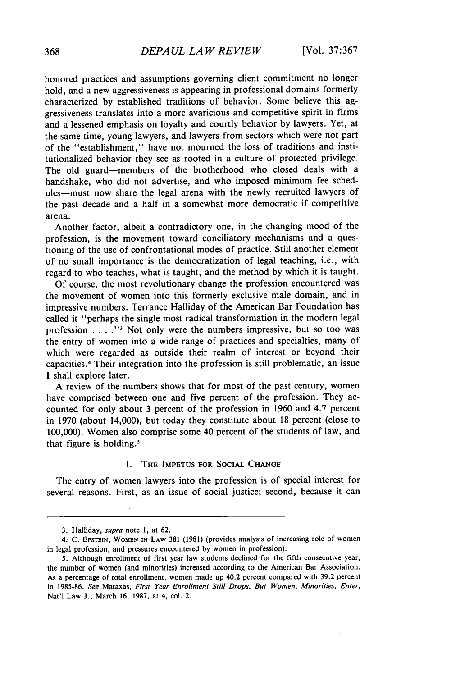honored practices and assumptions governing client commitment no longer hold, and a new aggressiveness is appearing in professional domains formerly characterized by established traditions of behavior. Some believe this aggressiveness translates into a more avaricious and competitive spirit in firms and a lessened emphasis on loyalty and courtly behavior by lawyers. Yet, at the same time, young lawyers, and lawyers from sectors which were not part of the "establishment," have not mourned the loss of traditions and institutionalized behavior they see as rooted in a culture of protected privilege. The old guard-members of the brotherhood who closed deals with a handshake, who did not advertise, and who imposed minimum fee schedules-must now share the legal arena with the newly recruited lawyers of the past decade and a half in a somewhat more democratic if competitive arena.

Another factor, albeit a contradictory one, in the changing mood of the profession, is the movement toward conciliatory mechanisms and a questioning of the use of confrontational modes of practice. Still another element of no small importance is the democratization of legal teaching, i.e., with regard to who teaches, what is taught, and the method by which it is taught.

Of course, the most revolutionary change the profession encountered was the movement of women into this formerly exclusive male domain, and in impressive numbers. Terrance Halliday of the American Bar Foundation has called it "perhaps the single most radical transformation in the modern legal profession . **. . . "** Not only were the numbers impressive, but so too was the entry of women into a wide range of practices and specialties, many of which were regarded as outside their realm of interest or beyond their capacities.' Their integration into the profession is still problematic, an issue I shall explore later.

A review of the numbers shows that for most of the past century, women have comprised between one and five percent of the profession. They accounted for only about 3 percent of the profession in 1960 and 4.7 percent in 1970 (about 14,000), but today they constitute about 18 percent (close to 100,000). Women also comprise some 40 percent of the students of law, and that figure is holding.'

#### I. THE **IMPETUS** FOR SOCIAL CHANGE

The entry of women lawyers into the profession is of special interest for several reasons. First, as an issue of social justice; second, because it can

**<sup>3.</sup>** Halliday, *supra* note 1, at **62.**

<sup>4.</sup> C. **EPSTEIN,** WOMEN **IN LAW 381** (1981) (provides analysis of increasing role of women in legal profession, and pressures encountered by women in profession).

<sup>5.</sup> Although enrollment of first year law students declined for the fifth consecutive year, the number of women (and minorities) increased according to the American Bar Association. As a percentage of total enrollment, women made up 40.2 percent compared with 39.2 percent in 1985-86. *See* Mataxas, *First Year Enrollment Still Drops, But Women, Minorities, Enter,* Nat'l Law J., March 16, 1987, at 4, col. 2.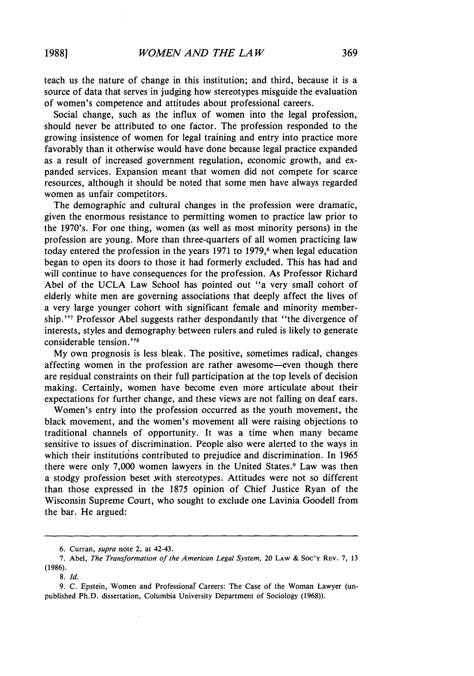teach us the nature of change in this institution; and third, because it is a source of data that serves in judging how stereotypes misguide the evaluation of women's competence and attitudes about professional careers.

Social change, such as the influx of women into the legal profession, should never be attributed to one factor. The profession responded to the growing insistence of women for legal training and entry into practice more favorably than it otherwise would have done because legal practice expanded as a result of increased government regulation, economic growth, and expanded services. Expansion meant that women did not compete for scarce resources, although it should be noted that some men have always regarded women as unfair competitors.

The demographic and cultural changes in the profession were dramatic, given the enormous resistance to permitting women to practice law prior to the 1970's. For one thing, women (as well as most minority persons) in the profession are young. More than three-quarters of all women practicing law today entered the profession in the years 1971 to 1979,<sup>6</sup> when legal education began to open its doors to those it had formerly excluded. This has had and will continue to have consequences for the profession. As Professor Richard Abel of the UCLA Law School has pointed out "a very small cohort of elderly white men are governing associations that deeply affect the lives of a very large younger cohort with significant female and minority membership."'7 Professor Abel suggests rather despondantly that "the divergence of interests, styles and demography between rulers and ruled is likely to generate considerable tension."<sup>8</sup>

My own prognosis is less bleak. The positive, sometimes radical, changes affecting women in the profession are rather awesome-even though there are residual constraints on their full participation at the top levels of decision making. Certainly, women have become even more articulate about their expectations for further change, and these views are not falling on deaf ears.

Women's entry into the profession occurred as the youth movement, the black movement, and the women's movement all were raising objections to traditional channels of opportunity. It was a time when many became sensitive to issues of discrimination. People also were alerted to the ways in which their institutions contributed to prejudice and discrimination. In 1965 there were only 7,000 women lawyers in the United States.<sup>9</sup> Law was then a stodgy profession beset with stereotypes. Attitudes were not so different than those expressed in the 1875 opinion of Chief Justice Ryan of the Wisconsin Supreme Court, who sought to exclude one Lavinia Goodell from the bar. He argued:

**<sup>6.</sup>** Curran, *supra* note 2, at 42-43.

**<sup>7.</sup>** Abel, *The Transformation of the American Legal System,* 20 LAW **&** Soc'v REV. **7, 13** (1986).

*<sup>8.</sup> Id.*

<sup>9.</sup> C. Epstein, Women and Professionaf Careers: The Case of the Woman Lawyer (unpublished Ph.D. dissertation, Columbia University Department of Sociology (1968)).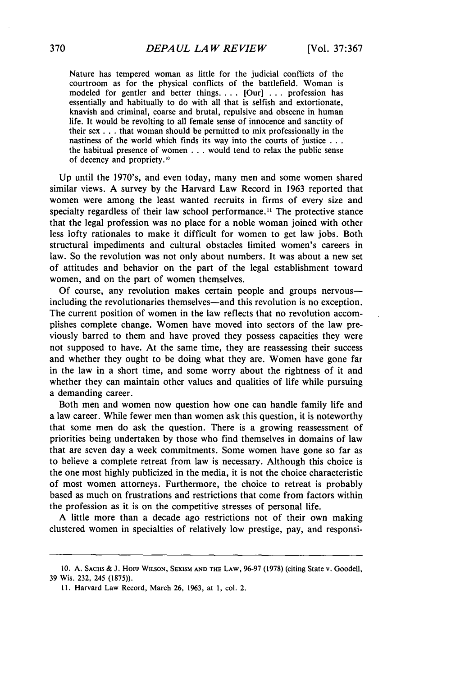Nature has tempered woman as little for the judicial conflicts of the courtroom as for the physical conflicts of the battlefield. Woman is modeled for gentler and better things **....** [Our] . **.** . profession has essentially and habitually to do with all that is selfish and extortionate, knavish and criminal, coarse and brutal, repulsive and obscene in human life. It would be revolting to all female sense of innocence and sanctity of their sex **. . .** that woman should be permitted to mix professionally in the nastiness of the world which finds its way into the courts of justice **. ..** the habitual presence of women . . . would tend to relax the public sense of decency and propriety.<sup>10</sup>

Up until the 1970's, and even today, many men and some women shared similar views. A survey by the Harvard Law Record in 1963 reported that women were among the least wanted recruits in firms of every size and specialty regardless of their law school performance.<sup>11</sup> The protective stance that the legal profession was no place for a noble woman joined with other less lofty rationales to make it difficult for women to get law jobs. Both structural impediments and cultural obstacles limited women's careers in law. So the revolution was not only about numbers. It was about a new set of attitudes and behavior on the part of the legal establishment toward women, and on the part of women themselves.

Of course, any revolution makes certain people and groups nervousincluding the revolutionaries themselves-and this revolution is no exception. The current position of women in the law reflects that no revolution accomplishes complete change. Women have moved into sectors of the law previously barred to them and have proved they possess capacities they were not supposed to have. At the same time, they are reassessing their success and whether they ought to be doing what they are. Women have gone far in the law in a short time, and some worry about the rightness of it and whether they can maintain other values and qualities of life while pursuing a demanding career.

Both men and women now question how one can handle family life and a law career. While fewer men than women ask this question, it is noteworthy that some men do ask the question. There is a growing reassessment of priorities being undertaken by those who find themselves in domains of law that are seven day a week commitments. Some women have gone so far as to believe a complete retreat from law is necessary. Although this choice is the one most highly publicized in the media, it is not the choice characteristic of most women attorneys. Furthermore, the choice to retreat is probably based as much on frustrations and restrictions that come from factors within the profession as it is on the competitive stresses of personal life.

A little more than a decade ago restrictions not of their own making clustered women in specialties of relatively low prestige, pay, and responsi-

**<sup>10.</sup> A.** SACHS & J. HOFF **WILSON, SEXISM AND THE** LAW, 96-97 (1978) (citing State v. Goodell, 39 Wis. 232, 245 (1875)).

**<sup>11.</sup>** Harvard Law Record, March 26, 1963, at 1, col. 2.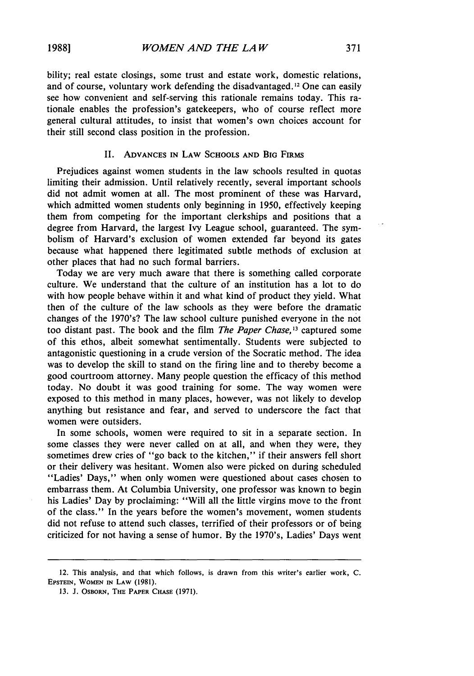bility; real estate closings, some trust and estate work, domestic relations, and of course, voluntary work defending the disadvantaged. 12 One can easily see how convenient and self-serving this rationale remains today. This rationale enables the profession's gatekeepers, who of course reflect more general cultural attitudes, to insist that women's own choices account for their still second class position in the profession.

#### II. ADVANCES IN LAW SCHOOLS AND BIG FIRMS

Prejudices against women students in the law schools resulted in quotas limiting their admission. Until relatively recently, several important schools did not admit women at all. The most prominent of these was Harvard, which admitted women students only beginning in 1950, effectively keeping them from competing for the important clerkships and positions that a degree from Harvard, the largest Ivy League school, guaranteed. The symbolism of Harvard's exclusion of women extended far beyond its gates because what happened there legitimated subtle methods of exclusion at other places that had no such formal barriers.

Today we are very much aware that there is something called corporate culture. We understand that the culture of an institution has a lot to do with how people behave within it and what kind of product they yield. What then of the culture of the law schools as they were before the dramatic changes of the 1970's? The law school culture punished everyone in the not too distant past. The book and the film *The Paper Chase, <sup>3</sup>*captured some of this ethos, albeit somewhat sentimentally. Students were subjected to antagonistic questioning in a crude version of the Socratic method. The idea was to develop the skill to stand on the firing line and to thereby become a good courtroom attorney. Many people question the efficacy of this method today. No doubt it was good training for some. The way women were exposed to this method in many places, however, was not likely to develop anything but resistance and fear, and served to underscore the fact that women were outsiders.

In some schools, women were required to sit in a separate section. In some classes they were never called on at all, and when they were, they sometimes drew cries of "go back to the kitchen," if their answers fell short or their delivery was hesitant. Women also were picked on during scheduled "Ladies' Days," when only women were questioned about cases chosen to embarrass them. At Columbia University, one professor was known to begin his Ladies' Day by proclaiming: "Will all the little virgins move to the front of the class." In the years before the women's movement, women students did not refuse to attend such classes, terrified of their professors or of being criticized for not having a sense of humor. By the 1970's, Ladies' Days went

<sup>12.</sup> This analysis, and that which follows, is drawn from this writer's earlier work, C. **EPSTEIN,** WOMEN IN LAW (1981).

<sup>13.</sup> J. OsBoRN, **THE** PAPER CHASE (1971).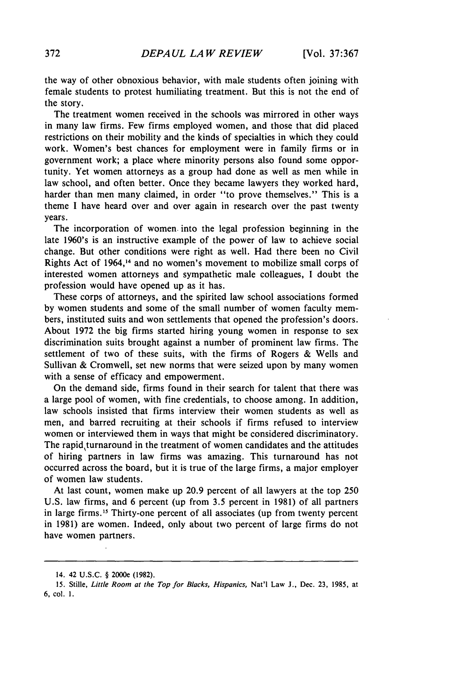the way of other obnoxious behavior, with male students often joining with female students to protest humiliating treatment. But this is not the end of the story.

The treatment women received in the schools was mirrored in other ways in many law firms. Few firms employed women, and those that did placed restrictions on their mobility and the kinds of specialties in which they could work. Women's best chances for employment were in family firms or in government work; a place where minority persons also found some opportunity. Yet women attorneys as a group had done as well as men while in law school, and often better. Once they became lawyers they worked hard, harder than men many claimed, in order "to prove themselves." This is a theme I have heard over and over again in research over the past twenty years.

The incorporation of women. into the legal profession beginning in the late 1960's is an instructive example of the power of law to achieve social change. But other conditions were right as well. Had there been no Civil Rights Act of 1964,14 and no women's movement to mobilize small corps of interested women attorneys and sympathetic male colleagues, I doubt the profession would have opened up as it has.

These corps of attorneys, and the spirited law school associations formed by women students and some of the small number of women faculty members, instituted suits and won settlements that opened the profession's doors. About 1972 the big firms started hiring young women in response to sex discrimination suits brought against a number of prominent law firms. The settlement of two of these suits, with the firms of Rogers & Wells and Sullivan & Cromwell, set new norms that were seized upon by many women with a sense of efficacy and empowerment.

On the demand side, firms found in their search for talent that there was a large pool of women, with fine credentials, to choose among. In addition, law schools insisted that firms interview their women students as well as men, and barred recruiting at their schools if firms refused to interview women or interviewed them in ways that might be considered discriminatory. The rapid turnaround in the treatment of women candidates and the attitudes of hiring partners in law firms was amazing. This turnaround has not occurred across the board, but it is true of the large firms, a major employer of women law students.

At last count, women make up 20.9 percent of all lawyers at the top 250 U.S. law firms, and 6 percent (up from 3.5 percent in 1981) of all partners in large firms.<sup>15</sup> Thirty-one percent of all associates (up from twenty percent in 1981) are women. Indeed, only about two percent of large firms do not have women partners.

<sup>14. 42</sup> U.S.C. § 2000e (1982).

<sup>15.</sup> Stille, *Little Room at the Top for Blacks, Hispanics,* Nat'l Law J., Dec. 23, 1985, at 6, col. 1.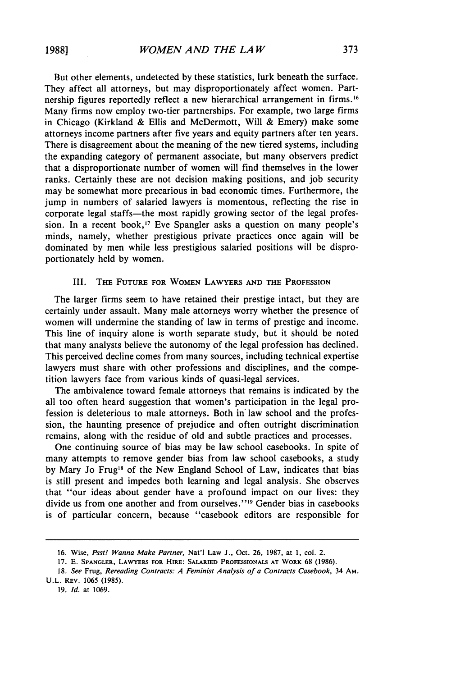But other elements, undetected by these statistics, lurk beneath the surface. They affect all attorneys, but may disproportionately affect women. Partnership figures reportedly reflect a new hierarchical arrangement in firms.<sup>16</sup> Many firms now employ two-tier partnerships. For example, two large firms in Chicago (Kirkland & Ellis and McDermott, Will & Emery) make some attorneys income partners after five years and equity partners after ten years. There is disagreement about the meaning of the new tiered systems, including the expanding category of permanent associate, but many observers predict that a disproportionate number of women will find themselves in the lower ranks. Certainly these are not decision making positions, and job security may be somewhat more precarious in bad economic times. Furthermore, the jump in numbers of salaried lawyers is momentous, reflecting the rise in corporate legal staffs-the most rapidly growing sector of the legal profession. In a recent book,<sup>17</sup> Eve Spangler asks a question on many people's minds, namely, whether prestigious private practices once again will be dominated by men while less prestigious salaried positions will be disproportionately held by women.

#### III. THE FUTURE FOR WOMEN LAWYERS **AND** THE PROFESSION

The larger firms seem to have retained their prestige intact, but they are certainly under assault. Many male attorneys worry whether the presence of women will undermine the standing of law in terms of prestige and income. This line of inquiry alone is worth separate study, but it should be noted that many analysts believe the autonomy of the legal profession has declined. This perceived decline comes from many sources, including technical expertise lawyers must share with other professions and disciplines, and the competition lawyers face from various kinds of quasi-legal services.

The ambivalence toward female attorneys that remains is indicated **by** the all too often heard suggestion that women's participation in the legal profession is deleterious to male attorneys. Both in law school and the profession, the haunting presence of prejudice and often outright discrimination remains, along with the residue of old and subtle practices and processes.

One continuing source of bias may be law school casebooks. In spite of many attempts to remove gender bias from law school casebooks, a study **by** Mary Jo Frug'8 of the New England School of Law, indicates that bias is still present and impedes both learning and legal analysis. She observes that "our ideas about gender have a profound impact on our lives: they divide us from one another and from ourselves."<sup>19</sup> Gender bias in casebooks is of particular concern, because "casebook editors are responsible for

19. Id. at 1069.

<sup>16.</sup> Wise, *Psst! Wanna Make Partner,* Nat'l Law **J.,** Oct. 26, **1987,** at **1,** col. 2.

**<sup>17.</sup> E. SPANGLER,** LAWYERS **FOR** HIRE: SALARIED **PROFESSIONALS AT** WORK 68 **(1986).**

**<sup>18.</sup>** *See* Frug, *Rereading Contracts: A Feminist Analysis of a Contracts Casebook,* 34 **AM.** U.L. REV. **1065** (1985).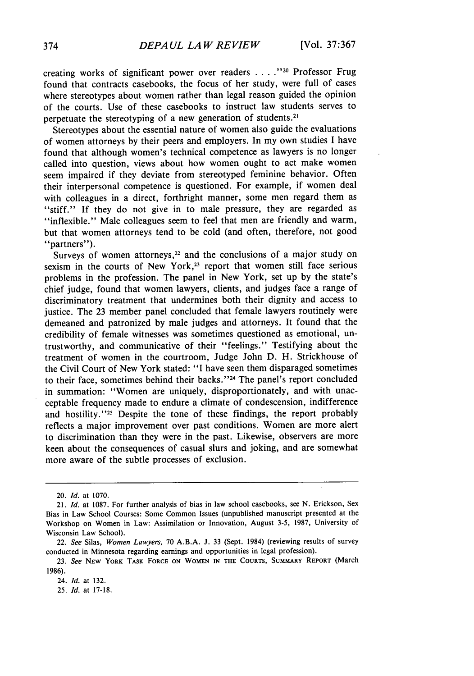creating works of significant power over readers . . . . "<sup>20</sup> Professor Frug found that contracts casebooks, the focus of her study, were full of cases where stereotypes about women rather than legal reason guided the opinion of the courts. Use of these casebooks to instruct law students serves to perpetuate the stereotyping of a new generation of students.<sup>21</sup>

Stereotypes about the essential nature of women also guide the evaluations of women attorneys by their peers and employers. In my own studies I have found that although women's technical competence as lawyers is no longer called into question, views about how women ought to act make women seem impaired if they deviate from stereotyped feminine behavior. Often their interpersonal competence is questioned. For example, if women deal with colleagues in a direct, forthright manner, some men regard them as "stiff." If they do not give in to male pressure, they are regarded as "inflexible." Male colleagues seem to feel that men are friendly and warm, but that women attorneys tend to be cold (and often, therefore, not good "partners").

Surveys of women attorneys, $22$  and the conclusions of a major study on sexism in the courts of New York,<sup>23</sup> report that women still face serious problems in the profession. The panel in New York, set up by the state's chief judge, found that women lawyers, clients, and judges face a range of discriminatory treatment that undermines both their dignity and access to justice. The 23 member panel concluded that female lawyers routinely were demeaned and patronized by male judges and attorneys. It found that the credibility of female witnesses was sometimes questioned as emotional, untrustworthy, and communicative of their "feelings." Testifying about the treatment of women in the courtroom, Judge John D. H. Strickhouse of the Civil Court of New York stated: "I have seen them disparaged sometimes to their face, sometimes behind their backs."<sup>24</sup> The panel's report concluded in summation: "Women are uniquely, disproportionately, and with unacceptable frequency made to endure a climate of condescension, indifference and hostility."<sup>25</sup> Despite the tone of these findings, the report probably reflects a major improvement over past conditions. Women are more alert to discrimination than they were in the past. Likewise, observers are more keen about the consequences of casual slurs and joking, and are somewhat more aware of the subtle processes of exclusion.

24. *Id.* at 132.

25. *Id.* at **17-18.**

<sup>20.</sup> *Id.* at 1070.

<sup>21.</sup> *Id.* at 1087. For further analysis of bias in law school casebooks, see N. Erickson, Sex Bias in Law School Courses: Some Common Issues (unpublished manuscript presented at the Workshop on Women in Law: Assimilation or Innovation, August 3-5, 1987, University of Wisconsin Law School).

<sup>22.</sup> *See* Silas, *Women Lawyers,* 70 A.B.A. J. 33 (Sept. 1984) (reviewing results of survey conducted in Minnesota regarding earnings and opportunities in legal profession).

<sup>23.</sup> *See* **NEW YORK TASK FORCE ON WOMEN IN THE COURTS, SUMMARY REPORT** (March 1986).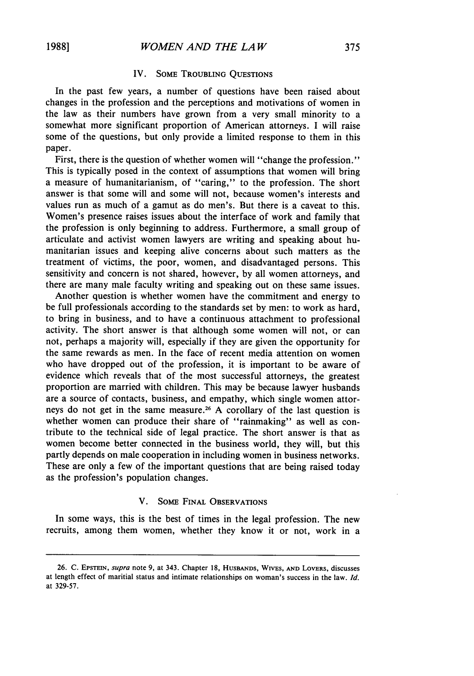#### IV. SoME TROUBLING QUESTIONS

In the past few years, a number of questions have been raised about changes in the profession and the perceptions and motivations of women in the law as their numbers have grown from a very small minority to a somewhat more significant proportion of American attorneys. **I** will raise some of the questions, but only provide a limited response to them in this paper.

First, there is the question of whether women will "change the profession." This is typically posed in the context of assumptions that women will bring a measure of humanitarianism, of "caring," to the profession. The short answer is that some will and some will not, because women's interests and values run as much of a gamut as do men's. But there is a caveat to this. Women's presence raises issues about the interface of work and family that the profession is only beginning to address. Furthermore, a small group of articulate and activist women lawyers are writing and speaking about humanitarian issues and keeping alive concerns about such matters as the treatment of victims, the poor, women, and disadvantaged persons. This sensitivity and concern is not shared, however, by all women attorneys, and there are many male faculty writing and speaking out on these same issues.

Another question is whether women have the commitment and energy to be full professionals according to the standards set by men: to work as hard, to bring in business, and to have a continuous attachment to professional activity. The short answer is that although some women will not, or can not, perhaps a majority will, especially if they are given the opportunity for the same rewards as men. In the face of recent media attention on women who have dropped out of the profession, it is important to be aware of evidence which reveals that of the most successful attorneys, the greatest proportion are married with children. This may be because lawyer husbands are a source of contacts, business, and empathy, which single women attorneys do not get in the same measure. 26 A corollary of the last question is whether women can produce their share of "rainmaking" as well as contribute to the technical side of legal practice. The short answer is that as women become better connected in the business world, they will, but this partly depends on male cooperation in including women in business networks. These are only a few of the important questions that are being raised today as the profession's population changes.

#### **V.** SOME FINAL OBSERVATIONS

In some ways, this is the best of times in the legal profession. The new recruits, among them women, whether they know it or not, work in a

**<sup>26.</sup> C.** EPSTEIN, *supra* note 9, at 343. Chapter **18, HUSBANDS,** WIVES, **AND** LOVERS, discusses at length effect of maritial status and intimate relationships on woman's success in the law. *Id.* at 329-57.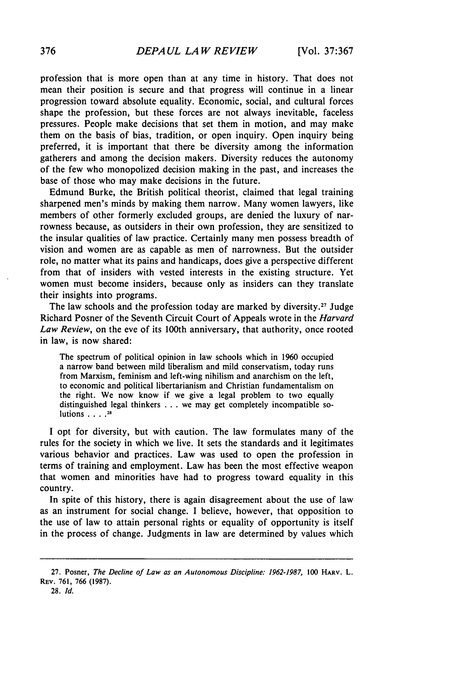profession that is more open than at any time in history. That does not mean their position is secure and that progress will continue in a linear progression toward absolute equality. Economic, social, and cultural forces shape the profession, but these forces are not always inevitable, faceless pressures. People make decisions that set them in motion, and may make them on the basis of bias, tradition, or open inquiry. Open inquiry being preferred, it is important that there be diversity among the information gatherers and among the decision makers. Diversity reduces the autonomy of the few who monopolized decision making in the past, and increases the base of those who may make decisions in the future.

Edmund Burke, the British political theorist, claimed that legal training sharpened men's minds by making them narrow. Many women lawyers, like members of other formerly excluded groups, are denied the luxury of narrowness because, as outsiders in their own profession, they are sensitized to the insular qualities of law practice. Certainly many men possess breadth of vision and women are as capable as men of narrowness. But the outsider role, no matter what its pains and handicaps, does give a perspective different from that of insiders with vested interests in the existing structure. Yet women must become insiders, because only as insiders can they translate their insights into programs.

The law schools and the profession today are marked by diversity.<sup>27</sup> Judge Richard Posner of the Seventh Circuit Court of Appeals wrote in the *Harvard Law Review,* on the eve of its 100th anniversary, that authority, once rooted in law, is now shared:

The spectrum of political opinion in law schools which in 1960 occupied a narrow band between mild liberalism and mild conservatism, today runs from Marxism, feminism and left-wing nihilism and anarchism on the left, to economic and political libertarianism and Christian fundamentalism on the right. We now know if we give a legal problem to two equally distinguished legal thinkers . . . we may get completely incompatible solutions **.... 28**

I opt for diversity, but with caution. The law formulates many of the rules for the society in which we live. It sets the standards and it legitimates various behavior and practices. Law was used to open the profession in terms of training and employment. Law has been the most effective weapon that women and minorities have had to progress toward equality in this country.

In spite of this history, there is again disagreement about the use of law as an instrument for social change. I believe, however, that opposition to the use of law to attain personal rights or equality of opportunity is itself in the process of change. Judgments in law are determined by values which

<sup>27.</sup> Posner, The Decline of Law as an Autonomous Discipline: 1962-1987, 100 HARV. L. REV. 761, 766 **(1987).**

**<sup>28.</sup>** *Id.*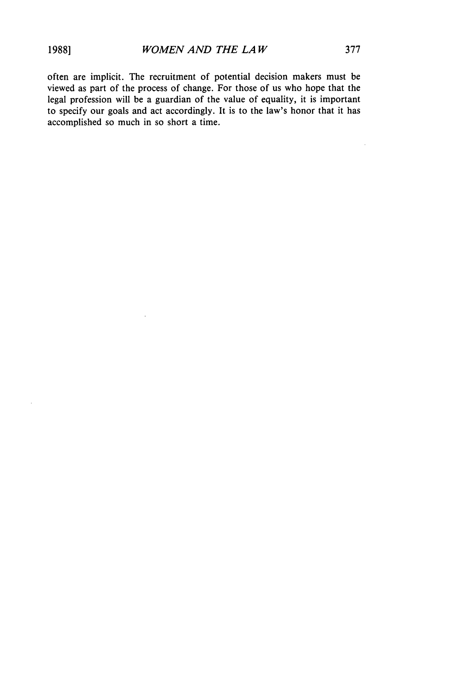J.

often are implicit. The recruitment of potential decision makers must be viewed as part of the process of change. For those of us who hope that the legal profession will be a guardian of the value of equality, it is important to specify our goals and act accordingly. It is to the law's honor that it has accomplished so much in so short a time.

 $\bar{z}$ 

 $\ddot{\phantom{0}}$